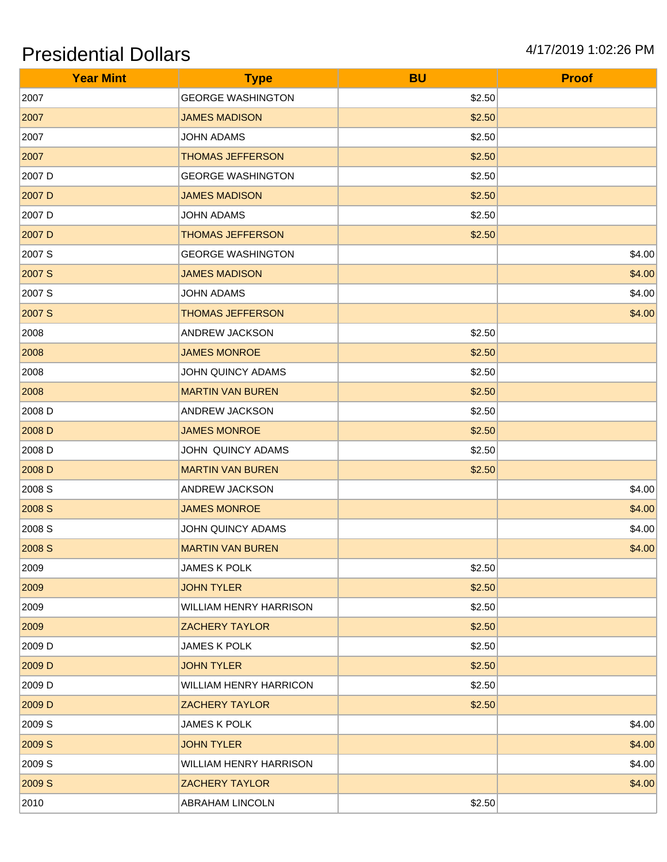| <b>Year Mint</b> | <b>Type</b>                   | <b>BU</b> | <b>Proof</b> |
|------------------|-------------------------------|-----------|--------------|
| 2007             | <b>GEORGE WASHINGTON</b>      | \$2.50    |              |
| 2007             | <b>JAMES MADISON</b>          | \$2.50    |              |
| 2007             | <b>JOHN ADAMS</b>             | \$2.50    |              |
| 2007             | <b>THOMAS JEFFERSON</b>       | \$2.50    |              |
| 2007 D           | <b>GEORGE WASHINGTON</b>      | \$2.50    |              |
| 2007 D           | <b>JAMES MADISON</b>          | \$2.50    |              |
| 2007 D           | <b>JOHN ADAMS</b>             | \$2.50    |              |
| 2007 D           | <b>THOMAS JEFFERSON</b>       | \$2.50    |              |
| 2007 S           | <b>GEORGE WASHINGTON</b>      |           | \$4.00       |
| 2007 S           | <b>JAMES MADISON</b>          |           | \$4.00       |
| 2007 S           | <b>JOHN ADAMS</b>             |           | \$4.00       |
| 2007 S           | <b>THOMAS JEFFERSON</b>       |           | \$4.00       |
| 2008             | ANDREW JACKSON                | \$2.50    |              |
| 2008             | <b>JAMES MONROE</b>           | \$2.50    |              |
| 2008             | JOHN QUINCY ADAMS             | \$2.50    |              |
| 2008             | <b>MARTIN VAN BUREN</b>       | \$2.50    |              |
| 2008 D           | ANDREW JACKSON                | \$2.50    |              |
| 2008 D           | <b>JAMES MONROE</b>           | \$2.50    |              |
| 2008 D           | JOHN QUINCY ADAMS             | \$2.50    |              |
| 2008 D           | <b>MARTIN VAN BUREN</b>       | \$2.50    |              |
| 2008 S           | ANDREW JACKSON                |           | \$4.00       |
| 2008 S           | <b>JAMES MONROE</b>           |           | \$4.00       |
| 2008 S           | JOHN QUINCY ADAMS             |           | \$4.00       |
| 2008 S           | <b>MARTIN VAN BUREN</b>       |           | \$4.00       |
| 2009             | JAMES K POLK                  | \$2.50    |              |
| 2009             | <b>JOHN TYLER</b>             | \$2.50    |              |
| 2009             | WILLIAM HENRY HARRISON        | \$2.50    |              |
| 2009             | <b>ZACHERY TAYLOR</b>         | \$2.50    |              |
| 2009 D           | <b>JAMES K POLK</b>           | \$2.50    |              |
| 2009 D           | <b>JOHN TYLER</b>             | \$2.50    |              |
| 2009 D           | <b>WILLIAM HENRY HARRICON</b> | \$2.50    |              |
| 2009 D           | <b>ZACHERY TAYLOR</b>         | \$2.50    |              |
| 2009 S           | <b>JAMES K POLK</b>           |           | \$4.00       |
| 2009 S           | <b>JOHN TYLER</b>             |           | \$4.00       |
| 2009 S           | WILLIAM HENRY HARRISON        |           | \$4.00       |
| 2009 S           | <b>ZACHERY TAYLOR</b>         |           | \$4.00       |
| 2010             | ABRAHAM LINCOLN               | \$2.50    |              |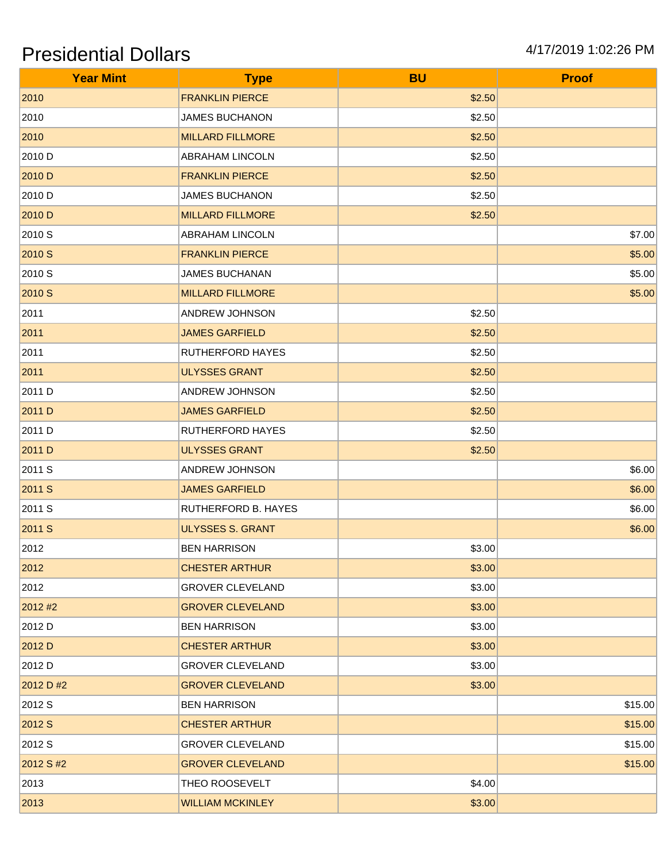| <b>Year Mint</b> | <b>Type</b>             | <b>BU</b> | <b>Proof</b> |
|------------------|-------------------------|-----------|--------------|
| 2010             | <b>FRANKLIN PIERCE</b>  | \$2.50    |              |
| 2010             | <b>JAMES BUCHANON</b>   | \$2.50    |              |
| 2010             | <b>MILLARD FILLMORE</b> | \$2.50    |              |
| 2010 D           | <b>ABRAHAM LINCOLN</b>  | \$2.50    |              |
| 2010 D           | <b>FRANKLIN PIERCE</b>  | \$2.50    |              |
| 2010 D           | <b>JAMES BUCHANON</b>   | \$2.50    |              |
| 2010 D           | <b>MILLARD FILLMORE</b> | \$2.50    |              |
| 2010 S           | ABRAHAM LINCOLN         |           | \$7.00       |
| 2010 S           | <b>FRANKLIN PIERCE</b>  |           | \$5.00       |
| 2010 S           | <b>JAMES BUCHANAN</b>   |           | \$5.00       |
| 2010 S           | <b>MILLARD FILLMORE</b> |           | \$5.00       |
| 2011             | ANDREW JOHNSON          | \$2.50    |              |
| 2011             | <b>JAMES GARFIELD</b>   | \$2.50    |              |
| 2011             | RUTHERFORD HAYES        | \$2.50    |              |
| 2011             | <b>ULYSSES GRANT</b>    | \$2.50    |              |
| 2011 D           | ANDREW JOHNSON          | \$2.50    |              |
| 2011 D           | <b>JAMES GARFIELD</b>   | \$2.50    |              |
| 2011 D           | RUTHERFORD HAYES        | \$2.50    |              |
| 2011 D           | <b>ULYSSES GRANT</b>    | \$2.50    |              |
| 2011 S           | ANDREW JOHNSON          |           | \$6.00       |
| 2011 S           | <b>JAMES GARFIELD</b>   |           | \$6.00       |
| 2011 S           | RUTHERFORD B. HAYES     |           | \$6.00       |
| 2011 S           | <b>ULYSSES S. GRANT</b> |           | \$6.00       |
| 2012             | <b>BEN HARRISON</b>     | \$3.00    |              |
| 2012             | <b>CHESTER ARTHUR</b>   | \$3.00    |              |
| 2012             | <b>GROVER CLEVELAND</b> | \$3.00    |              |
| 2012#2           | <b>GROVER CLEVELAND</b> | \$3.00    |              |
| 2012 D           | <b>BEN HARRISON</b>     | \$3.00    |              |
| 2012 D           | <b>CHESTER ARTHUR</b>   | \$3.00    |              |
| 2012 D           | <b>GROVER CLEVELAND</b> | \$3.00    |              |
| 2012 D #2        | <b>GROVER CLEVELAND</b> | \$3.00    |              |
| 2012 S           | <b>BEN HARRISON</b>     |           | \$15.00      |
| 2012 S           | <b>CHESTER ARTHUR</b>   |           | \$15.00      |
| 2012 S           | <b>GROVER CLEVELAND</b> |           | \$15.00      |
| 2012 S #2        | <b>GROVER CLEVELAND</b> |           | \$15.00      |
| 2013             | THEO ROOSEVELT          | \$4.00    |              |
| 2013             | <b>WILLIAM MCKINLEY</b> | \$3.00    |              |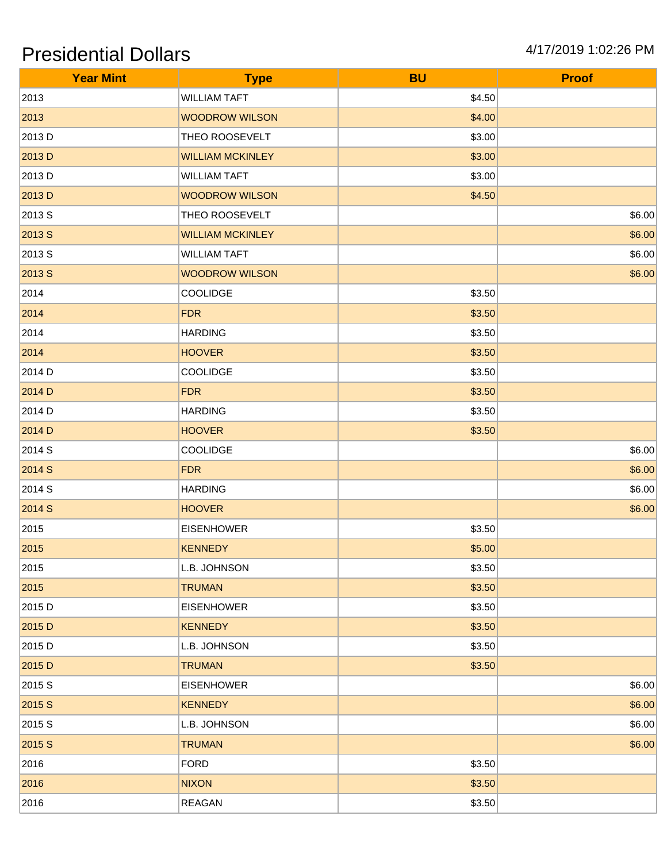| <b>Year Mint</b> | <b>Type</b>             | <b>BU</b> | <b>Proof</b> |
|------------------|-------------------------|-----------|--------------|
| 2013             | <b>WILLIAM TAFT</b>     | \$4.50    |              |
| 2013             | <b>WOODROW WILSON</b>   | \$4.00    |              |
| 2013 D           | THEO ROOSEVELT          | \$3.00    |              |
| 2013 D           | <b>WILLIAM MCKINLEY</b> | \$3.00    |              |
| 2013 D           | <b>WILLIAM TAFT</b>     | \$3.00    |              |
| 2013 D           | <b>WOODROW WILSON</b>   | \$4.50    |              |
| 2013 S           | THEO ROOSEVELT          |           | \$6.00       |
| 2013 S           | <b>WILLIAM MCKINLEY</b> |           | \$6.00       |
| 2013 S           | <b>WILLIAM TAFT</b>     |           | \$6.00       |
| 2013 S           | <b>WOODROW WILSON</b>   |           | \$6.00       |
| 2014             | COOLIDGE                | \$3.50    |              |
| 2014             | <b>FDR</b>              | \$3.50    |              |
| 2014             | <b>HARDING</b>          | \$3.50    |              |
| 2014             | <b>HOOVER</b>           | \$3.50    |              |
| 2014 D           | <b>COOLIDGE</b>         | \$3.50    |              |
| 2014 D           | <b>FDR</b>              | \$3.50    |              |
| 2014 D           | <b>HARDING</b>          | \$3.50    |              |
| 2014 D           | <b>HOOVER</b>           | \$3.50    |              |
| 2014 S           | <b>COOLIDGE</b>         |           | \$6.00       |
| 2014 S           | <b>FDR</b>              |           | \$6.00       |
| 2014 S           | <b>HARDING</b>          |           | \$6.00       |
| 2014 S           | <b>HOOVER</b>           |           | \$6.00       |
| 2015             | <b>EISENHOWER</b>       | \$3.50    |              |
| 2015             | <b>KENNEDY</b>          | \$5.00    |              |
| 2015             | L.B. JOHNSON            | \$3.50    |              |
| 2015             | <b>TRUMAN</b>           | \$3.50    |              |
| 2015 D           | <b>EISENHOWER</b>       | \$3.50    |              |
| 2015 D           | <b>KENNEDY</b>          | \$3.50    |              |
| 2015 D           | L.B. JOHNSON            | \$3.50    |              |
| 2015 D           | <b>TRUMAN</b>           | \$3.50    |              |
| 2015 S           | <b>EISENHOWER</b>       |           | \$6.00       |
| 2015 S           | <b>KENNEDY</b>          |           | \$6.00       |
| 2015 S           | L.B. JOHNSON            |           | \$6.00       |
| 2015 S           | <b>TRUMAN</b>           |           | \$6.00       |
| 2016             | <b>FORD</b>             | \$3.50    |              |
| 2016             | <b>NIXON</b>            | \$3.50    |              |
| 2016             | <b>REAGAN</b>           | \$3.50    |              |